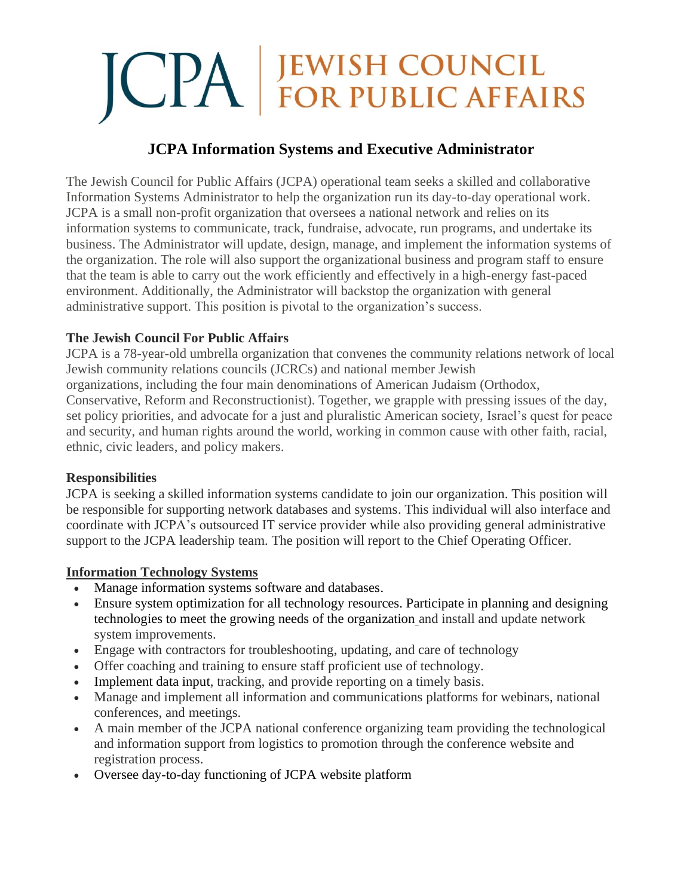# **JCPA JEWISH COUNCIL**<br>FOR PUBLIC AFFAIRS

# **JCPA Information Systems and Executive Administrator**

The Jewish Council for Public Affairs (JCPA) operational team seeks a skilled and collaborative Information Systems Administrator to help the organization run its day-to-day operational work. JCPA is a small non-profit organization that oversees a national network and relies on its information systems to communicate, track, fundraise, advocate, run programs, and undertake its business. The Administrator will update, design, manage, and implement the information systems of the organization. The role will also support the organizational business and program staff to ensure that the team is able to carry out the work efficiently and effectively in a high-energy fast-paced environment. Additionally, the Administrator will backstop the organization with general administrative support. This position is pivotal to the organization's success.

#### **The Jewish Council For Public Affairs**

JCPA is a 78-year-old umbrella organization that convenes the community relations network of local Jewish community relations councils (JCRCs) and national member Jewish

organizations, including the four main denominations of American Judaism (Orthodox,

Conservative, Reform and Reconstructionist). Together, we grapple with pressing issues of the day, set policy priorities, and advocate for a just and pluralistic American society, Israel's quest for peace and security, and human rights around the world, working in common cause with other faith, racial, ethnic, civic leaders, and policy makers.

# **Responsibilities**

JCPA is seeking a skilled information systems candidate to join our organization. This position will be responsible for supporting network databases and systems. This individual will also interface and coordinate with JCPA's outsourced IT service provider while also providing general administrative support to the JCPA leadership team. The position will report to the Chief Operating Officer.

# **Information Technology Systems**

- Manage information systems software and databases.
- Ensure system optimization for all technology resources. Participate in planning and designing technologies to meet the growing needs of the organization and install and update network system improvements.
- Engage with contractors for troubleshooting, updating, and care of technology
- Offer coaching and training to ensure staff proficient use of technology.
- Implement data input, tracking, and provide reporting on a timely basis.
- Manage and implement all information and communications platforms for webinars, national conferences, and meetings.
- A main member of the JCPA national conference organizing team providing the technological and information support from logistics to promotion through the conference website and registration process.
- Oversee day-to-day functioning of JCPA website platform